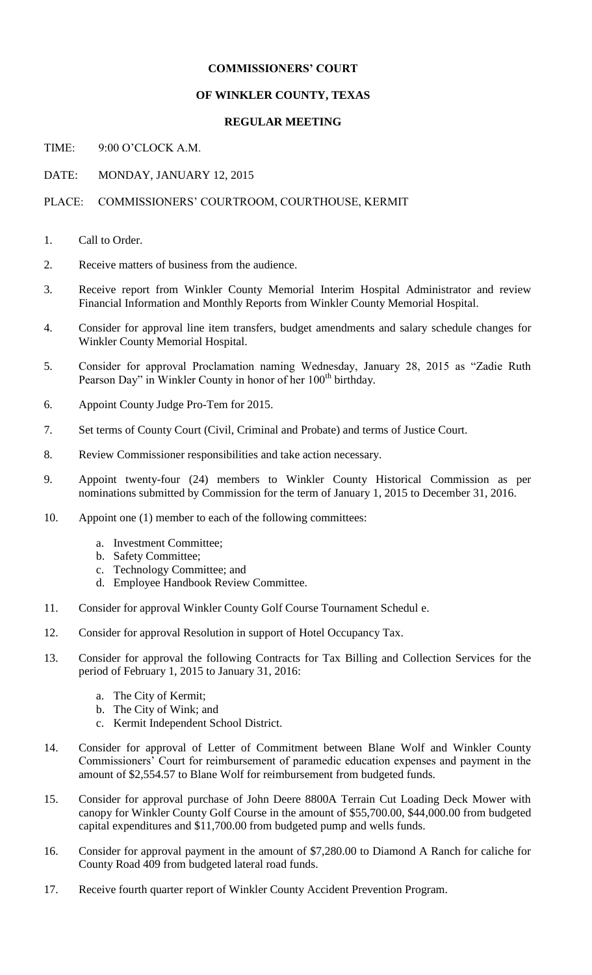## **COMMISSIONERS' COURT**

### **OF WINKLER COUNTY, TEXAS**

#### **REGULAR MEETING**

TIME: 9:00 O'CLOCK A.M.

# DATE: MONDAY, JANUARY 12, 2015

#### PLACE: COMMISSIONERS' COURTROOM, COURTHOUSE, KERMIT

- 1. Call to Order.
- 2. Receive matters of business from the audience.
- 3. Receive report from Winkler County Memorial Interim Hospital Administrator and review Financial Information and Monthly Reports from Winkler County Memorial Hospital.
- 4. Consider for approval line item transfers, budget amendments and salary schedule changes for Winkler County Memorial Hospital.
- 5. Consider for approval Proclamation naming Wednesday, January 28, 2015 as "Zadie Ruth Pearson Day" in Winkler County in honor of her  $100<sup>th</sup>$  birthday.
- 6. Appoint County Judge Pro-Tem for 2015.
- 7. Set terms of County Court (Civil, Criminal and Probate) and terms of Justice Court.
- 8. Review Commissioner responsibilities and take action necessary.
- 9. Appoint twenty-four (24) members to Winkler County Historical Commission as per nominations submitted by Commission for the term of January 1, 2015 to December 31, 2016.
- 10. Appoint one (1) member to each of the following committees:
	- a. Investment Committee;
	- b. Safety Committee;
	- c. Technology Committee; and
	- d. Employee Handbook Review Committee.
- 11. Consider for approval Winkler County Golf Course Tournament Schedul e.
- 12. Consider for approval Resolution in support of Hotel Occupancy Tax.
- 13. Consider for approval the following Contracts for Tax Billing and Collection Services for the period of February 1, 2015 to January 31, 2016:
	- a. The City of Kermit;
	- b. The City of Wink; and
	- c. Kermit Independent School District.
- 14. Consider for approval of Letter of Commitment between Blane Wolf and Winkler County Commissioners' Court for reimbursement of paramedic education expenses and payment in the amount of \$2,554.57 to Blane Wolf for reimbursement from budgeted funds.
- 15. Consider for approval purchase of John Deere 8800A Terrain Cut Loading Deck Mower with canopy for Winkler County Golf Course in the amount of \$55,700.00, \$44,000.00 from budgeted capital expenditures and \$11,700.00 from budgeted pump and wells funds.
- 16. Consider for approval payment in the amount of \$7,280.00 to Diamond A Ranch for caliche for County Road 409 from budgeted lateral road funds.
- 17. Receive fourth quarter report of Winkler County Accident Prevention Program.